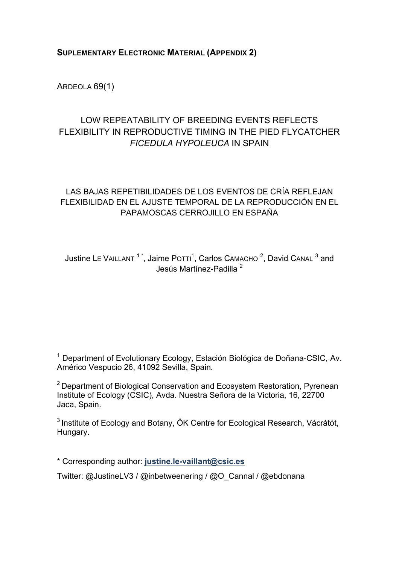## **SUPLEMENTARY ELECTRONIC MATERIAL (APPENDIX 2)**

ARDEOLA 69(1)

# LOW REPEATABILITY OF BREEDING EVENTS REFLECTS FLEXIBILITY IN REPRODUCTIVE TIMING IN THE PIED FLYCATCHER *FICEDULA HYPOLEUCA* IN SPAIN

## LAS BAJAS REPETIBILIDADES DE LOS EVENTOS DE CRÍA REFLEJAN FLEXIBILIDAD EN EL AJUSTE TEMPORAL DE LA REPRODUCCIÓN EN EL PAPAMOSCAS CERROJILLO EN ESPAÑA

Justine LE VAILLANT  $1^*$ , Jaime Potti<sup>1</sup>, Carlos CAMACHO  $^2$ , David CANAL  $^3$  and Jesús Martínez-Padilla <sup>2</sup>

 $1$  Department of Evolutionary Ecology, Estación Biológica de Doñana-CSIC, Av. Américo Vespucio 26, 41092 Sevilla, Spain*.*

<sup>2</sup> Department of Biological Conservation and Ecosystem Restoration, Pyrenean Institute of Ecology (CSIC), Avda. Nuestra Señora de la Victoria, 16, 22700 Jaca, Spain.

 $3$  Institute of Ecology and Botany, ÖK Centre for Ecological Research, Vácrátót, Hungary.

\* Corresponding author: **justine.le-vaillant@csic.es**

Twitter: @JustineLV3 / @inbetweenering / @O\_Cannal / @ebdonana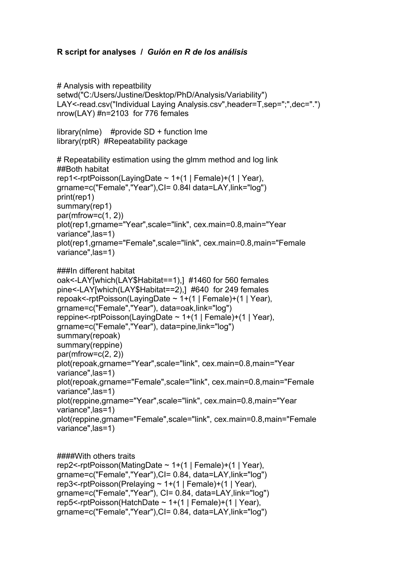## **R script for analyses /** *Guión en R de los análisis*

```
# Analysis with repeatbility
setwd("C:/Users/Justine/Desktop/PhD/Analysis/Variability")
LAY<-read.csv("Individual Laying Analysis.csv",header=T,sep=";",dec=".")
nrow(LAY) #n=2103 for 776 females
library(nlme) #provide SD + function lme
library(rptR) #Repeatability package 
# Repeatability estimation using the glmm method and log link
##Both habitat
rep1<-rptPoisson(LayingDate \sim 1+(1 | Female)+(1 | Year),
grname=c("Female","Year"),CI= 0.84l data=LAY,link="log")
print(rep1)
summary(rep1)
par(mfrow=c(1, 2))plot(rep1,grname="Year",scale="link", cex.main=0.8,main="Year 
variance",las=1)
plot(rep1,grname="Female",scale="link", cex.main=0.8,main="Female 
variance",las=1)
###In different habitat
oak<-LAY[which(LAY$Habitat==1),] #1460 for 560 females
pine<-LAY[which(LAY$Habitat==2),] #640 for 249 females
repoak<-rptPoisson(LayingDate ~ 1+(1 | Female)+(1 | Year), 
grname=c("Female","Year"), data=oak,link="log")
reppine<-rptPoisson(LayingDate \sim 1+(1 | Female)+(1 | Year),
grname=c("Female","Year"), data=pine,link="log")
summary(repoak) 
summary(reppine) 
par(mfrow=c(2, 2))plot(repoak,grname="Year",scale="link", cex.main=0.8,main="Year 
variance",las=1)
plot(repoak,grname="Female",scale="link", cex.main=0.8,main="Female 
variance",las=1)
plot(reppine,grname="Year",scale="link", cex.main=0.8,main="Year 
variance",las=1)
plot(reppine,grname="Female",scale="link", cex.main=0.8,main="Female 
variance",las=1)
```
#### ####With others traits

```
rep2<-rptPoisson(MatingDate ~ 1+(1 | Female)+(1 | Year), 
grname=c("Female","Year"),CI= 0.84, data=LAY,link="log")
rep3<-rptPoisson(Prelaying \sim 1+(1 | Female)+(1 | Year),
grname=c("Female","Year"), CI= 0.84, data=LAY,link="log")
rep5<-rptPoisson(HatchDate \sim 1+(1 | Female)+(1 | Year),
grname=c("Female","Year"),CI= 0.84, data=LAY,link="log")
```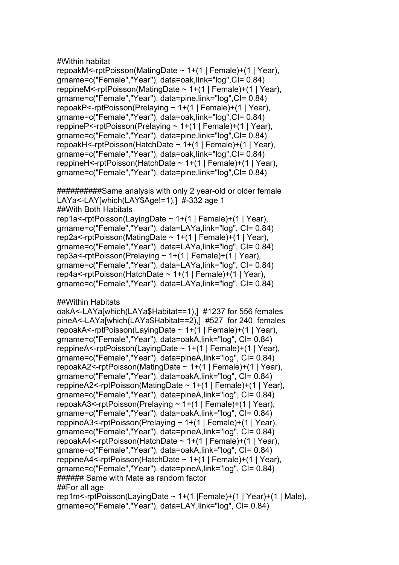## #Within habitat

```
repoakM<-rptPoisson(MatingDate ~ 1+(1 | Female)+(1 | Year), 
grname=c("Female","Year"), data=oak,link="log",CI= 0.84)
reppineM<-rptPoisson(MatingDate \sim 1+(1 | Female)+(1 | Year),
grname=c("Female","Year"), data=pine,link="log",CI= 0.84)
repoakP<-rptPoisson(Prelaying \sim 1+(1 | Female)+(1 | Year),
grname=c("Female","Year"), data=oak,link="log",CI= 0.84)
reppineP<-rptPoisson(Prelaying \sim 1+(1 | Female)+(1 | Year),
grname=c("Female","Year"), data=pine,link="log",CI= 0.84)
repoakH<-rptPoisson(HatchDate ~ 1+(1 | Female)+(1 | Year), 
grname=c("Female","Year"), data=oak,link="log",CI= 0.84)
reppineH<-rptPoisson(HatchDate ~ 1+(1 | Female)+(1 | Year), 
grname=c("Female","Year"), data=pine,link="log",CI= 0.84)
```
##########Same analysis with only 2 year-old or older female LAYa<-LAY[which(LAY\$Age!=1),] #-332 age 1 ##With Both Habitats rep1a<-rptPoisson(LayingDate  $\sim$  1+(1 | Female)+(1 | Year), grname=c("Female","Year"), data=LAYa,link="log", CI= 0.84) rep2a<-rptPoisson(MatingDate ~ 1+(1 | Female)+(1 | Year), grname=c("Female","Year"), data=LAYa,link="log", CI= 0.84) rep3a<-rptPoisson(Prelaying ~ 1+(1 | Female)+(1 | Year), grname=c("Female","Year"), data=LAYa,link="log", CI= 0.84) rep4a<-rptPoisson(HatchDate ~ 1+(1 | Female)+(1 | Year), grname=c("Female","Year"), data=LAYa,link="log", CI= 0.84)

#### ##Within Habitats

```
oakA<-LAYa[which(LAYa$Habitat==1),] #1237 for 556 females 
pineA<-LAYa[which(LAYa$Habitat==2),] #527 for 240 females
repoakA<-rptPoisson(LayingDate ~ 1+(1 | Female)+(1 | Year), 
grname=c("Female","Year"), data=oakA,link="log", CI= 0.84)
reppineA<-rptPoisson(LayingDate \sim 1+(1 | Female)+(1 | Year),
grname=c("Female","Year"), data=pineA,link="log", CI= 0.84)
repoakA2<-rptPoisson(MatingDate \sim 1+(1 | Female)+(1 | Year),
grname=c("Female","Year"), data=oakA,link="log", CI= 0.84)
reppineA2<-rptPoisson(MatingDate \sim 1+(1 | Female)+(1 | Year),
grname=c("Female","Year"), data=pineA,link="log", CI= 0.84)
repoakA3<-rptPoisson(Prelaying \sim 1+(1 | Female)+(1 | Year),
grname=c("Female","Year"), data=oakA,link="log", CI= 0.84)
reppineA3<-rptPoisson(Prelaying ~ 1+(1 | Female)+(1 | Year), 
grname=c("Female","Year"), data=pineA,link="log", CI= 0.84)
repoakA4<-rptPoisson(HatchDate ~ 1+(1 | Female)+(1 | Year), 
grname=c("Female","Year"), data=oakA,link="log", CI= 0.84)
reppineA4<-rptPoisson(HatchDate ~ 1+(1 | Female)+(1 | Year), 
grname=c("Female","Year"), data=pineA,link="log", CI= 0.84)
###### Same with Mate as random factor
##For all age
rep1m<-rptPoisson(LayingDate \sim 1+(1 | Female)+(1 | Year)+(1 | Male),
grname=c("Female","Year"), data=LAY,link="log", CI= 0.84)
```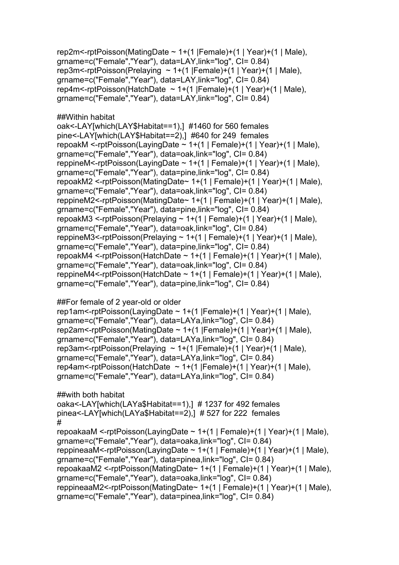```
rep2m<-rptPoisson(MatingDate ~ 1+(1 |Female)+(1 | Year)+(1 | Male), 
grname=c("Female","Year"), data=LAY,link="log", CI= 0.84)
rep3m<-rptPoisson(Prelaying \sim 1+(1 | Female)+(1 | Year)+(1 | Male),
grname=c("Female","Year"), data=LAY,link="log", CI= 0.84)
rep4m<-rptPoisson(HatchDate \sim 1+(1 | Female)+(1 | Year)+(1 | Male),
grname=c("Female","Year"), data=LAY,link="log", CI= 0.84)
```
## ##Within habitat

oak<-LAY[which(LAY\$Habitat==1),] #1460 for 560 females pine<-LAY[which(LAY\$Habitat==2),] #640 for 249 females repoakM <-rptPoisson(LayingDate ~ 1+(1 | Female)+(1 | Year)+(1 | Male), grname=c("Female","Year"), data=oak,link="log", CI= 0.84) reppineM<-rptPoisson(LayingDate  $\sim$  1+(1 | Female)+(1 | Year)+(1 | Male), grname=c("Female","Year"), data=pine,link="log", CI= 0.84) repoakM2 <-rptPoisson(MatingDate~ 1+(1 | Female)+(1 | Year)+(1 | Male), grname=c("Female","Year"), data=oak,link="log", CI= 0.84) reppineM2<-rptPoisson(MatingDate~ 1+(1 | Female)+(1 | Year)+(1 | Male), grname=c("Female","Year"), data=pine,link="log", CI= 0.84) repoakM3 <-rptPoisson(Prelaying  $\sim$  1+(1 | Female)+(1 | Year)+(1 | Male), grname=c("Female","Year"), data=oak,link="log", CI= 0.84) reppineM3<-rptPoisson(Prelaying  $\sim$  1+(1 | Female)+(1 | Year)+(1 | Male), grname=c("Female","Year"), data=pine,link="log", CI= 0.84) repoakM4 <-rptPoisson(HatchDate ~ 1+(1 | Female)+(1 | Year)+(1 | Male), grname=c("Female","Year"), data=oak,link="log", CI= 0.84) reppineM4<-rptPoisson(HatchDate  $\sim$  1+(1 | Female)+(1 | Year)+(1 | Male), grname=c("Female","Year"), data=pine,link="log", CI= 0.84)

#### ##For female of 2 year-old or older

rep1am<-rptPoisson(LayingDate  $\sim$  1+(1 | Female)+(1 | Year)+(1 | Male), grname=c("Female","Year"), data=LAYa,link="log", CI= 0.84) rep2am<-rptPoisson(MatingDate  $\sim$  1+(1 | Female)+(1 | Year)+(1 | Male), grname=c("Female","Year"), data=LAYa,link="log", CI= 0.84) rep3am<-rptPoisson(Prelaying  $\sim$  1+(1 | Female)+(1 | Year)+(1 | Male), grname=c("Female","Year"), data=LAYa,link="log", CI= 0.84) rep4am<-rptPoisson(HatchDate  $\sim$  1+(1 | Female)+(1 | Year)+(1 | Male), grname=c("Female","Year"), data=LAYa,link="log", CI= 0.84)

```
##with both habitat
oaka<-LAY[which(LAYa$Habitat==1),] # 1237 for 492 females 
pinea<-LAY[which(LAYa$Habitat==2),] # 527 for 222 females
# 
repoakaaM <-rptPoisson(LayingDate \sim 1+(1 | Female)+(1 | Year)+(1 | Male),
grname=c("Female","Year"), data=oaka,link="log", CI= 0.84)
reppineaaM<-rptPoisson(LayingDate \sim 1+(1 | Female)+(1 | Year)+(1 | Male),
grname=c("Female","Year"), data=pinea,link="log", CI= 0.84)
repoakaaM2 <-rptPoisson(MatingDate~ 1+(1 | Female)+(1 | Year)+(1 | Male), 
grname=c("Female","Year"), data=oaka,link="log", CI= 0.84)
reppineaaM2<-rptPoisson(MatingDate~ 1+(1 | Female)+(1 | Year)+(1 | Male), 
grname=c("Female","Year"), data=pinea,link="log", CI= 0.84)
```